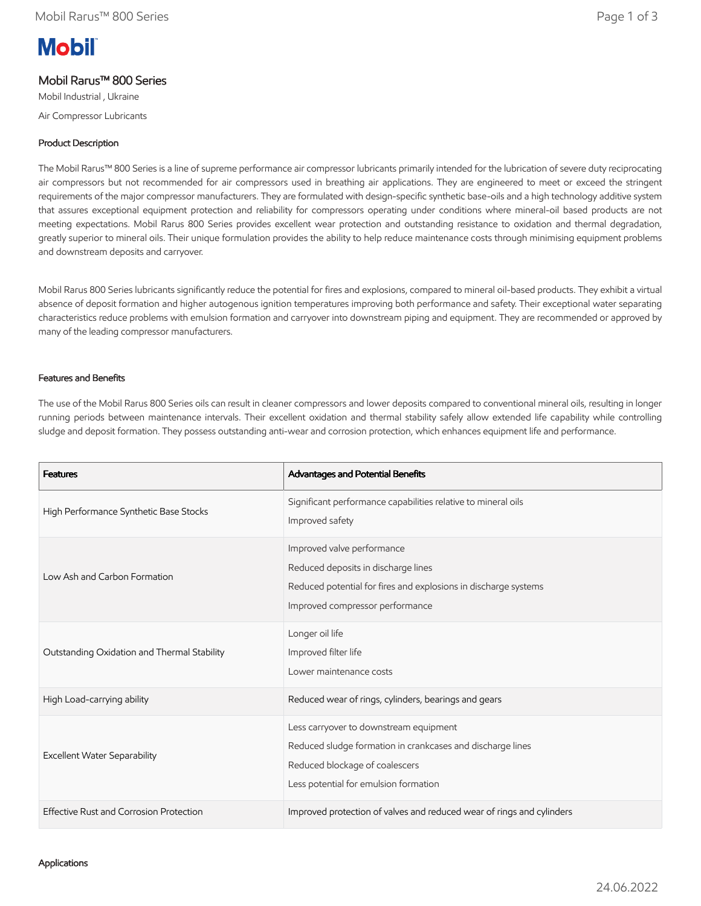# **Mobil**

# Mobil Rarus™ 800 Series

Mobil Industrial , Ukraine Air Compressor Lubricants

# Product Description

The Mobil Rarus™ 800 Series is a line of supreme performance air compressor lubricants primarily intended for the lubrication of severe duty reciprocating air compressors but not recommended for air compressors used in breathing air applications. They are engineered to meet or exceed the stringent requirements of the major compressor manufacturers. They are formulated with design-specific synthetic base-oils and a high technology additive system that assures exceptional equipment protection and reliability for compressors operating under conditions where mineral-oil based products are not meeting expectations. Mobil Rarus 800 Series provides excellent wear protection and outstanding resistance to oxidation and thermal degradation, greatly superior to mineral oils. Their unique formulation provides the ability to help reduce maintenance costs through minimising equipment problems and downstream deposits and carryover.

Mobil Rarus 800 Series lubricants significantly reduce the potential for fires and explosions, compared to mineral oil-based products. They exhibit a virtual absence of deposit formation and higher autogenous ignition temperatures improving both performance and safety. Their exceptional water separating characteristics reduce problems with emulsion formation and carryover into downstream piping and equipment. They are recommended or approved by many of the leading compressor manufacturers.

### Features and Benefits

The use of the Mobil Rarus 800 Series oils can result in cleaner compressors and lower deposits compared to conventional mineral oils, resulting in longer running periods between maintenance intervals. Their excellent oxidation and thermal stability safely allow extended life capability while controlling sludge and deposit formation. They possess outstanding anti-wear and corrosion protection, which enhances equipment life and performance.

| <b>Features</b>                             | Advantages and Potential Benefits                                                                                                                                               |
|---------------------------------------------|---------------------------------------------------------------------------------------------------------------------------------------------------------------------------------|
| High Performance Synthetic Base Stocks      | Significant performance capabilities relative to mineral oils<br>Improved safety                                                                                                |
| Low Ash and Carbon Formation                | Improved valve performance<br>Reduced deposits in discharge lines<br>Reduced potential for fires and explosions in discharge systems<br>Improved compressor performance         |
| Outstanding Oxidation and Thermal Stability | Longer oil life<br>Improved filter life<br>Lower maintenance costs                                                                                                              |
| High Load-carrying ability                  | Reduced wear of rings, cylinders, bearings and gears                                                                                                                            |
| <b>Excellent Water Separability</b>         | Less carryover to downstream equipment<br>Reduced sludge formation in crankcases and discharge lines<br>Reduced blockage of coalescers<br>Less potential for emulsion formation |
| Effective Rust and Corrosion Protection     | Improved protection of valves and reduced wear of rings and cylinders                                                                                                           |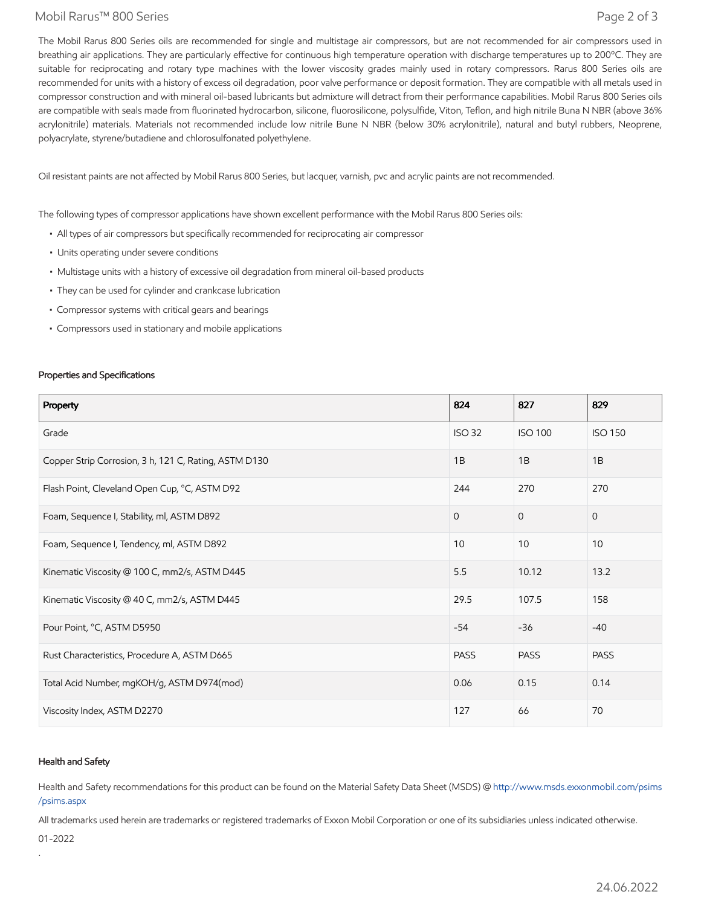### Mobil Rarus™ 800 Series Page 2 of 3

The Mobil Rarus 800 Series oils are recommended for single and multistage air compressors, but are not recommended for air compressors used in breathing air applications. They are particularly effective for continuous high temperature operation with discharge temperatures up to 200°C. They are suitable for reciprocating and rotary type machines with the lower viscosity grades mainly used in rotary compressors. Rarus 800 Series oils are recommended for units with a history of excess oil degradation, poor valve performance or deposit formation. They are compatible with all metals used in compressor construction and with mineral oil-based lubricants but admixture will detract from their performance capabilities. Mobil Rarus 800 Series oils are compatible with seals made from fluorinated hydrocarbon, silicone, fluorosilicone, polysulfide, Viton, Teflon, and high nitrile Buna N NBR (above 36% acrylonitrile) materials. Materials not recommended include low nitrile Bune N NBR (below 30% acrylonitrile), natural and butyl rubbers, Neoprene, polyacrylate, styrene/butadiene and chlorosulfonated polyethylene.

Oil resistant paints are not affected by Mobil Rarus 800 Series, but lacquer, varnish, pvc and acrylic paints are not recommended.

The following types of compressor applications have shown excellent performance with the Mobil Rarus 800 Series oils:

- All types of air compressors but specifically recommended for reciprocating air compressor
- Units operating under severe conditions
- Multistage units with a history of excessive oil degradation from mineral oil-based products
- They can be used for cylinder and crankcase lubrication
- Compressor systems with critical gears and bearings
- Compressors used in stationary and mobile applications

### Properties and Specifications

| Property                                              | 824           | 827            | 829            |
|-------------------------------------------------------|---------------|----------------|----------------|
| Grade                                                 | <b>ISO 32</b> | <b>ISO 100</b> | <b>ISO 150</b> |
| Copper Strip Corrosion, 3 h, 121 C, Rating, ASTM D130 | 1B            | 1B             | 1B             |
| Flash Point, Cleveland Open Cup, °C, ASTM D92         | 244           | 270            | 270            |
| Foam, Sequence I, Stability, ml, ASTM D892            | $\Omega$      | $\Omega$       | $\mathbf{0}$   |
| Foam, Sequence I, Tendency, ml, ASTM D892             | 10            | 10             | 10             |
| Kinematic Viscosity @ 100 C, mm2/s, ASTM D445         | 5.5           | 10.12          | 13.2           |
| Kinematic Viscosity @ 40 C, mm2/s, ASTM D445          | 29.5          | 107.5          | 158            |
| Pour Point, °C, ASTM D5950                            | $-54$         | $-36$          | $-40$          |
| Rust Characteristics, Procedure A, ASTM D665          | <b>PASS</b>   | <b>PASS</b>    | <b>PASS</b>    |
| Total Acid Number, mgKOH/g, ASTM D974(mod)            | 0.06          | 0.15           | 0.14           |
| Viscosity Index, ASTM D2270                           | 127           | 66             | 70             |

### Health and Safety

Health and Safety recommendations for this product can be found on the Material Safety Data Sheet (MSDS) @ [http://www.msds.exxonmobil.com/psims](http://www.msds.exxonmobil.com/psims/psims.aspx) /psims.aspx

All trademarks used herein are trademarks or registered trademarks of Exxon Mobil Corporation or one of its subsidiaries unless indicated otherwise.

01-2022

.